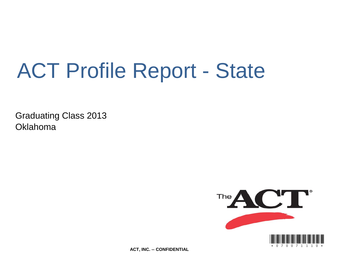# ACT Profile Report - State

Graduating Class 2013 Oklahoma



**ACT, INC. -- CONFIDENTIAL**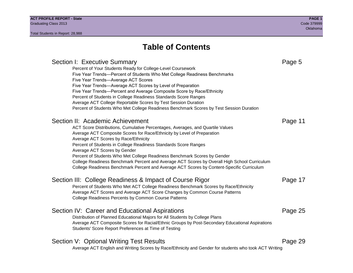Section I: Executive Summary **Page 5** and the section I: Executive Summary Percent of Your Students Ready for College-Level Coursework Five Year Trends—Percent of Students Who Met College Readiness Benchmarks Five Year Trends—Average ACT Scores Five Year Trends—Average ACT Scores by Level of Preparation Five Year Trends—Percent and Average Composite Score by Race/Ethnicity Percent of Students in College Readiness Standards Score Ranges Average ACT College Reportable Scores by Test Session Duration Percent of Students Who Met College Readiness Benchmark Scores by Test Session Duration Section II: Academic Achievement **Page 11** Page 11 ACT Score Distributions, Cumulative Percentages, Averages, and Quartile Values Average ACT Composite Scores for Race/Ethnicity by Level of Preparation Average ACT Scores by Race/Ethnicity Percent of Students in College Readiness Standards Score Ranges Average ACT Scores by Gender Percent of Students Who Met College Readiness Benchmark Scores by Gender College Readiness Benchmark Percent and Average ACT Scores by Overall High School Curriculum College Readiness Benchmark Percent and Average ACT Scores by Content-Specific Curriculum Section III: College Readiness & Impact of Course Rigor Page 17 Percent of Students Who Met ACT College Readiness Benchmark Scores by Race/Ethnicity Average ACT Scores and Average ACT Score Changes by Common Course Patterns College Readiness Percents by Common Course Patterns Section IV: Career and Educational Aspirations **Page 25** Page 25 Distribution of Planned Educational Majors for All Students by College Plans Average ACT Composite Scores for Racial/Ethnic Groups by Post-Secondary Educational Aspirations Students' Score Report Preferences at Time of Testing Section V: Optional Writing Test Results **Page 29** Page 29 Average ACT English and Writing Scores by Race/Ethnicity and Gender for students who took ACT Writing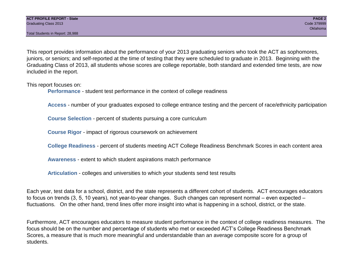This report provides information about the performance of your 2013 graduating seniors who took the ACT as sophomores, juniors, or seniors; and self-reported at the time of testing that they were scheduled to graduate in 2013. Beginning with the Graduating Class of 2013, all students whose scores are college reportable, both standard and extended time tests, are now included in the report.

This report focuses on:

**Performance** - student test performance in the context of college readiness

**Access** - number of your graduates exposed to college entrance testing and the percent of race/ethnicity participation

**Course Selection** - percent of students pursuing a core curriculum

**Course Rigor** - impact of rigorous coursework on achievement

**College Readiness** - percent of students meeting ACT College Readiness Benchmark Scores in each content area

**Awareness** - extent to which student aspirations match performance

**Articulation** - colleges and universities to which your students send test results

Each year, test data for a school, district, and the state represents a different cohort of students. ACT encourages educators to focus on trends (3, 5, 10 years), not year-to-year changes. Such changes can represent normal – even expected – fluctuations. On the other hand, trend lines offer more insight into what is happening in a school, district, or the state.

Furthermore, ACT encourages educators to measure student performance in the context of college readiness measures. The focus should be on the number and percentage of students who met or exceeded ACT's College Readiness Benchmark Scores, a measure that is much more meaningful and understandable than an average composite score for a group of students.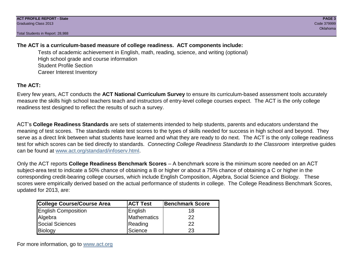## **The ACT is a curriculum-based measure of college readiness. ACT components include:**

Tests of academic achievement in English, math, reading, science, and writing (optional) High school grade and course information Student Profile Section Career Interest Inventory

## **The ACT:**

Every few years, ACT conducts the **ACT National Curriculum Survey** to ensure its curriculum-based assessment tools accurately measure the skills high school teachers teach and instructors of entry-level college courses expect. The ACT is the only college readiness test designed to reflect the results of such a survey.

ACT's **College Readiness Standards** are sets of statements intended to help students, parents and educators understand the meaning of test scores. The standards relate test scores to the types of skills needed for success in high school and beyond. They serve as a direct link between what students have learned and what they are ready to do next. The ACT is the only college readiness test for which scores can be tied directly to standards. *Connecting College Readiness Standards to the Classroom* interpretive guides can be found at www.act.org/standard/infoserv.html.

Only the ACT reports **College Readiness Benchmark Scores** – A benchmark score is the minimum score needed on an ACT subject-area test to indicate a 50% chance of obtaining a B or higher or about a 75% chance of obtaining a C or higher in the corresponding credit-bearing college courses, which include English Composition, Algebra, Social Science and Biology. These scores were empirically derived based on the actual performance of students in college. The College Readiness Benchmark Scores, updated for 2013, are:

| College Course/Course Area | <b>ACT Test</b> | <b>Benchmark Score</b> |
|----------------------------|-----------------|------------------------|
| <b>English Composition</b> | English         | 18                     |
| Algebra                    | Mathematics     | 22                     |
| <b>Social Sciences</b>     | Reading         | 22                     |
| Biology                    | Science         | 23                     |

For more information, go to www.act.org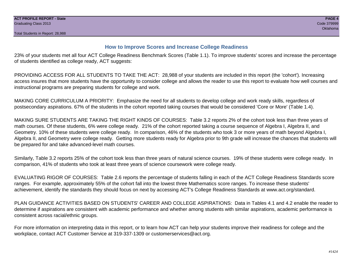## **How to Improve Scores and Increase College Readiness**

23% of your students met all four ACT College Readiness Benchmark Scores (Table 1.1). To improve students' scores and increase the percentage of students identified as college ready, ACT suggests:

PROVIDING ACCESS FOR ALL STUDENTS TO TAKE THE ACT: 28,988 of your students are included in this report (the 'cohort'). Increasing access insures that more students have the opportunity to consider college and allows the reader to use this report to evaluate how well courses and instructional programs are preparing students for college and work.

MAKING CORE CURRICULUM A PRIORITY: Emphasize the need for all students to develop college and work ready skills, regardless of postsecondary aspirations. 67% of the students in the cohort reported taking courses that would be considered 'Core or More' (Table 1.4).

MAKING SURE STUDENTS ARE TAKING THE RIGHT KINDS OF COURSES: Table 3.2 reports 2% of the cohort took less than three years of math courses. Of these students, 6% were college ready. 21% of the cohort reported taking a course sequence of Algebra I, Algebra II, and Geometry. 10% of these students were college ready. In comparison, 46% of the students who took 3 or more years of math beyond Algebra I, Algebra II, and Geometry were college ready. Getting more students ready for Algebra prior to 9th grade will increase the chances that students will be prepared for and take advanced-level math courses.

Similarly, Table 3.2 reports 25% of the cohort took less than three years of natural science courses. 19% of these students were college ready. In comparison, 41% of students who took at least three years of science coursework were college ready.

EVALUATING RIGOR OF COURSES: Table 2.6 reports the percentage of students falling in each of the ACT College Readiness Standards score ranges. For example, approximately 55% of the cohort fall into the lowest three Mathematics score ranges. To increase these students' achievement, identify the standards they should focus on next by accessing ACT's College Readiness Standards at www.act.org/standard.

PLAN GUIDANCE ACTIVITIES BASED ON STUDENTS' CAREER AND COLLEGE ASPIRATIONS: Data in Tables 4.1 and 4.2 enable the reader to determine if aspirations are consistent with academic performance and whether among students with similar aspirations, academic performance is consistent across racial/ethnic groups.

For more information on interpreting data in this report, or to learn how ACT can help your students improve their readiness for college and the workplace, contact ACT Customer Service at 319-337-1309 or customerservices@act.org.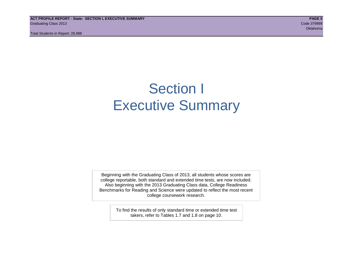**ACT PROFILE REPORT - State: SECTION I, EXECUTIVE SUMMARY PAGE 5** Graduating Class 2013 Code 379999

Total Students in Report: 28,988

oklahoma na katalang katalang na katalang na katalang na katalang na katalang na katalang na katalang na katal

## Section I Executive Summary

Beginning with the Graduating Class of 2013, all students whose scores are college reportable, both standard and extended time tests, are now included. Also beginning with the 2013 Graduating Class data, College Readiness Benchmarks for Reading and Science were updated to reflect the most recent college coursework research.

> To find the results of only standard time or extended time test takers, refer to Tables 1.7 and 1.8 on page 10.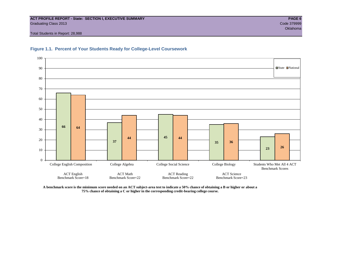## **ACT PROFILE REPORT - State: SECTION I, EXECUTIVE SUMMARY PAGE 6** Graduating Class 2013 Code 379999

Total Students in Report: 28,988



## **Figure 1.1. Percent of Your Students Ready for College-Level Coursework**

**A benchmark score is the minimum score needed on an ACT subject-area test to indicate a 50% chance of obtaining a B or higher or about a 75% chance of obtaining a C or higher in the corresponding credit-bearing college course.**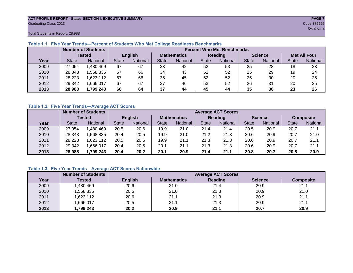## **ACT PROFILE REPORT - State: SECTION I, EXECUTIVE SUMMARY PAGE 7** Graduating Class 2013 Code 379999

Total Students in Report: 28,988

|      | <b>Number of Students</b> |                 |                |          | <b>Percent Who Met Benchmarks</b> |                 |              |          |                |          |                     |          |
|------|---------------------------|-----------------|----------------|----------|-----------------------------------|-----------------|--------------|----------|----------------|----------|---------------------|----------|
|      |                           | <b>Tested</b>   | <b>English</b> |          | <b>Mathematics</b>                |                 | Reading      |          | <b>Science</b> |          | <b>Met All Four</b> |          |
| Year | <b>State</b>              | <b>National</b> | <b>State</b>   | National | <b>State</b>                      | <b>National</b> | <b>State</b> | National | <b>State</b>   | National | <b>State</b>        | National |
| 2009 | 27,054                    | .480,469        | 67             | 67       | 33                                | 42              | 52           | 53       | 25             | 28       | 18                  | 23       |
| 2010 | 28,343                    | .568.835        | 67             | 66       | 34                                | 43              | 52           | 52       | 25             | 29       | 19                  | 24       |
| 2011 | 28,223                    | ,623,112        | 67             | 66       | 35                                | 45              | 52           | 52       | 25             | 30       | 20                  | 25       |
| 2012 | 29,342                    | .666,017        | 67             | 67       | 37                                | 46              | 53           | 52       | 26             | 31       | 20                  | 25       |
| 2013 | 28,988                    | 1,799,243       | 66             | 64       | 37                                | 44              | 45           | 44       | 35             | 36       | 23                  | 26       |

## **Table 1.1. Five Year Trends—Percent of Students Who Met College Readiness Benchmarks**

## **Table 1.2. Five Year Trends—Average ACT Scores**

|      |              | <b>Number of Students</b> |                |          |                    | <b>Average ACT Scores</b> |              |                 |              |                |              |                  |
|------|--------------|---------------------------|----------------|----------|--------------------|---------------------------|--------------|-----------------|--------------|----------------|--------------|------------------|
|      | Tested       |                           | <b>English</b> |          | <b>Mathematics</b> |                           | Reading      |                 |              | <b>Science</b> |              | <b>Composite</b> |
| Year | <b>State</b> | <b>National</b>           | <b>State</b>   | National | State              | <b>National</b>           | <b>State</b> | <b>National</b> | <b>State</b> | National       | <b>State</b> | National         |
| 2009 | 27.054       | .480,469                  | 20.5           | 20.6     | 19.9               | 21.0                      | 21.4         | 21.4            | 20.5         | 20.9           | 20.7         | 21.1             |
| 2010 | 28,343       | .568.835                  | 20.4           | 20.5     | 19.9               | 21.0                      | 21.2         | 21.3            | 20.6         | 20.9           | 20.7         | 21.0             |
| 2011 | 28,223       | .623,112                  | 20.5           | 20.6     | 19.9               | 21.1                      | 21.3         | 21.3            | 20.6         | 20.9           | 20.7         | 21.1             |
| 2012 | 29,342       | .666,017                  | 20.4           | 20.5     | 20.1               | 21.1                      | 21.3         | 21.3            | 20.6         | 20.9           | 20.7         | 21.1             |
| 2013 | 28,988       | ,799,243                  | 20.4           | 20.2     | 20.1               | 20.9                      | 21.4         | 21.1            | 20.8         | 20.7           | 20.8         | 20.9             |

## **Table 1.3. Five Year Trends—Average ACT Scores Nationwide**

|      | <b>Number of Students</b> | <b>Average ACT Scores</b> |                    |         |                |                  |  |  |  |  |  |
|------|---------------------------|---------------------------|--------------------|---------|----------------|------------------|--|--|--|--|--|
| Year | Tested                    | <b>English</b>            | <b>Mathematics</b> | Reading | <b>Science</b> | <b>Composite</b> |  |  |  |  |  |
| 2009 | ,480,469                  | 20.6                      | 21.0               | 21.4    | 20.9           | 21.1             |  |  |  |  |  |
| 2010 | ,568,835                  | 20.5                      | 21.0               | 21.3    | 20.9           | 21.0             |  |  |  |  |  |
| 2011 | ,623,112                  | 20.6                      | 21.1               | 21.3    | 20.9           | 21.1             |  |  |  |  |  |
| 2012 | ,666,017                  | 20.5                      | 21.1               | 21.3    | 20.9           | 21.1             |  |  |  |  |  |
| 2013 | ,799,243                  | 20.2                      | 20.9               | 21.1    | 20.7           | 20.9             |  |  |  |  |  |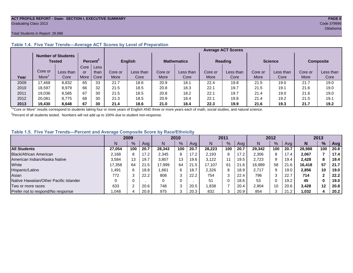## **ACT PROFILE REPORT - State: SECTION I, EXECUTIVE SUMMARY PAGE 8** Graduating Class 2013 Code 379999

## Total Students in Report: 28,988

|      |                                     |           |      |                      |                | <b>Average ACT Scores</b> |                    |           |                |           |                |           |                  |           |  |
|------|-------------------------------------|-----------|------|----------------------|----------------|---------------------------|--------------------|-----------|----------------|-----------|----------------|-----------|------------------|-----------|--|
|      | <b>Number of Students</b><br>Tested |           |      | Percent <sup>2</sup> | <b>English</b> |                           | <b>Mathematics</b> |           | <b>Reading</b> |           | <b>Science</b> |           | <b>Composite</b> |           |  |
|      |                                     |           | Core | Less                 |                |                           |                    |           |                |           |                |           |                  |           |  |
|      | Core or                             | Less than | or   | than                 | Core or        | Less than                 | Core or            | Less than | Core or        | Less than | Core or        | Less than | Core or          | Less than |  |
| Year | More                                | Core      | More | Core                 | More           | Core                      | More               | Core      | More           | Core      | More           | Core      | More             | Core      |  |
| 2009 | 17.468                              | 8,832     | 65   | 33                   | 21.7           | 18.6                      | 20.9               | 18.7      | 22.4           | 19.8      | 21.5           | 19.0      | 21.7             | 19.0      |  |
| 2010 | 18.597                              | 8.979     | 66   | 32                   | 21.5           | 18.5                      | 20.8               | 18.3      | 22.1           | 19.7      | 21.5           | 19.1      | 21.6             | 19.0      |  |
| 2011 | 19,036                              | 8,585     | 67   | 30                   | 21.5           | 18.5                      | 20.8               | 18.2      | 22.1           | 19.7      | 21.4           | 19.0      | 21.6             | 19.0      |  |
| 2012 | 20.081                              | 8.775     | 68   | 30                   | 21.3           | 18.5                      | 20.9               | 18.4      | 22.1           | 19.8      | 21.4           | 19.2      | 21.5             | 19.1      |  |
| 2013 | 19,430                              | 8,648     | 67   | 30                   | 21.4           | 18.6                      | 21.0               | 18.4      | 22.3           | 19.9      | 21.6           | 19.3      | 21.7             | 19.2      |  |

## **Table 1.4. Five Year Trends—Average ACT Scores by Level of Preparation**

<sup>1</sup>"Core or More" results correspond to students taking four or more years of English AND three or more years each of math, social studies, and natural science.

 $2$ Percent of all students tested. Numbers will not add up to 100% due to student non-response.

## **Table 1.5. Five Year Trends—Percent and Average Composite Score by Race/Ethnicity**

|                                        | 2009   |     | 2010 |        | 2011          |      | 2012   |               |      | 2013   |     |      |        |               |      |
|----------------------------------------|--------|-----|------|--------|---------------|------|--------|---------------|------|--------|-----|------|--------|---------------|------|
|                                        |        | %   | Avg  | N      | $\frac{9}{6}$ | Ava  | N      | $\frac{9}{6}$ | Avg  | N      | %   | Ava  | N      | $\frac{9}{6}$ | Avg  |
| <b>All Students</b>                    | 27.054 | 100 | 20.7 | 28.343 | 100           | 20.7 | 28.223 | 100           | 20.7 | 29.342 | 100 | 20.7 | 28.988 | 100           | 20.8 |
| Black/African American                 | 2.168  |     | 17.2 | 2,345  | 8             | 17.2 | 2.193  | 8             | 17.2 | 2,306  | 8   | 17.4 | 2,067  |               | 17.4 |
| American Indian/Alaska Native          | 3.584  | 13  | 19.7 | 3.807  | 13            | 19.6 | 3.122  |               | 19.5 | 2,723  | 9   | 19.4 | 2.428  | 8             | 19.4 |
| White                                  | 17.358 | 64  | 21.5 | 17.999 | 64            | 21.5 | 17.107 | 61            | 21.6 | 16.989 | 58  | 21.6 | 16.418 | 57            | 21.7 |
| Hispanic/Latino                        | .491   | 6   | 18.8 | 1.661  | 6             | 18.7 | 2,326  | 8             | 18.9 | 2,717  | 9   | 19.0 | 2,856  | 10            | 19.0 |
| Asian                                  | 772    |     | 22.2 | 808    | 3             | 22.2 | 754    | 3             | 22.4 | 796    |     | 22.7 | 714    |               | 22.2 |
| Native Hawaiian/Other Pacific Islander |        |     |      | 0      | 0             |      | 51     | 0             | 18.6 | 53     |     | 19.2 | 45     | $\bf{0}$      | 19.0 |
| Two or more races                      | 633    |     | 20.6 | 748    | 3             | 20.5 | 838,   |               | 20.4 | 2,904  | 10  | 20.6 | 3.428  | 12            | 20.8 |
| Prefer not to respond/No response      | 048.   |     | 20.8 | 975    | ◠             | 20.3 | 832    | 3             | 20.9 | 854    | ⌒   | 21.2 | 1,032  |               | 20.2 |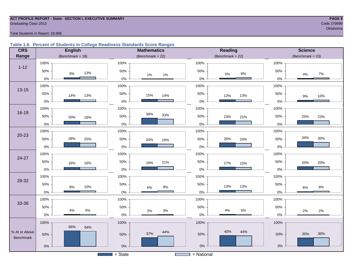## **ACT PROFILE REPORT - State: SECTION I, EXECUTIVE SUMMARY PAGE 9 Graduating Class 2013** Code 379999 Code 379999

oklahoma na katalang katalang na katalang na katalang na katalang na katalang na katalang na katalang na katal

Total Students in Report: 28,988

## **Table 1.6. Percent of Students in College Readiness Standards Score Ranges**

| <b>CRS</b>       | <b>English</b>      | <b>Mathematics</b>                    | <b>Reading</b>       | <b>Science</b>      |
|------------------|---------------------|---------------------------------------|----------------------|---------------------|
| Range            | (Benchmark = $18$ ) | (Benchmark = $22$ )                   | (Benchmark = $22$ )  | (Benchmark = $23$ ) |
|                  | 100%                | 100%                                  | 100%                 | 100%                |
| $1 - 12$         | 50%<br>13%<br>$9\%$ | 50%<br>$1\%$<br>$1\%$                 | 50%<br>$8\%$<br>5%   | 50%<br>$7\%$<br>4%  |
|                  | $0\%$               | $0\%$                                 | $0\%$                | $0\%$               |
| $13 - 15$        | 100%                | 100%                                  | 100%                 | 100%                |
|                  | 50%<br>14%<br>13%   | 50%<br>15%<br>14%                     | 50%<br>13%<br>12%    | 50%<br>10%<br>$9\%$ |
|                  | $0\%$               | $0\%$                                 | $0\%$                | $0\%$               |
|                  | 100%                | 100%                                  | 100%                 | 100%                |
| $16 - 19$        | 50%<br>20%<br>18%   | 39%<br>33%<br>50%                     | 50%<br>23%<br>21%    | 25%<br>50%<br>23%   |
|                  | $0\%$               | $0\%$                                 | $0\%$                | $0\%$               |
|                  | 100%                | 100%                                  | 100%                 | 100%                |
| $20 - 23$        | 28%<br>50%<br>25%   | 50%<br>20%<br>19%                     | 50%<br>26%<br>24%    | 34%<br>30%<br>50%   |
|                  | $0\%$               | $0\%$                                 | $0\%$                | 0%                  |
|                  | 100%                | 100%                                  | 100%                 | 100%                |
| 24-27            | 50%<br>16%<br>16%   | 50%<br>21%<br>18%                     | 50%<br>17%<br>15%    | 50%<br>20%<br>20%   |
|                  | 0%                  | $0\%$                                 | $0\%$                | 0%                  |
|                  | 100%                | 100%                                  | 100%                 | 100%                |
| 28-32            | 50%<br>$9\%$<br>10% | 50%<br>$9\%$<br>$6\%$                 | 50%<br>13%<br>13%    | 50%<br>$8\%$<br>6%  |
|                  | $0\%$               | $0\%$                                 | $0\%$                | $0\%$               |
|                  | 100%                | 100%                                  | 100%                 | 100%                |
| 33-36            | 50%                 | 50%                                   | 50%                  | 50%                 |
|                  | 5%<br>4%<br>$0\%$   | 3%<br>2%<br>$0\%$                     | $4\%$<br>5%<br>$0\%$ | 2%<br>2%<br>$0\%$   |
|                  | 100%                | 100%                                  | 100%                 | 100%                |
| % At or Above    | 66%<br>64%          | 44%                                   | 45%<br>44%           |                     |
| <b>Benchmark</b> | 50%                 | 37%<br>50%                            | 50%                  | 35%<br>36%<br>50%   |
|                  | $0\%$               | $0\%$                                 | $0\%$                | $0\%$               |
|                  |                     | $=$ State<br><b>Contract Contract</b> | $=$ National         |                     |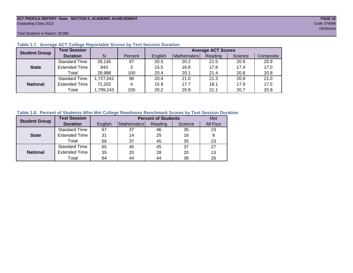## **ACT PROFILE REPORT- State: SECTION II, ACADEMIC ACHIEVEMENT PAGE 10** Graduating Class 2013 Code 379999

Total Students in Report: 28,988

| <b>Student Group</b> | <b>Test Session</b>  |           |         | <b>Average ACT Scores</b> |             |         |         |           |  |  |
|----------------------|----------------------|-----------|---------|---------------------------|-------------|---------|---------|-----------|--|--|
|                      | <b>Duration</b>      | N         | Percent | English                   | Mathematics | Reading | Science | Composite |  |  |
|                      | <b>Standard Time</b> | 28,145    | 97      | 20.5                      | 20.2        | 21.5    | 20.9    | 20.9      |  |  |
| <b>State</b>         | <b>Extended Time</b> | 843       | 3       | 15.5                      | 16.8        | 17.8    | 17.4    | 17.0      |  |  |
|                      | Total                | 28,988    | 100     | 20.4                      | 20.1        | 21.4    | 20.8    | 20.8      |  |  |
|                      | <b>Standard Time</b> | 1,727,041 | 96      | 20.4                      | 21.0        | 21.3    | 20.9    | 21.0      |  |  |
| <b>National</b>      | <b>Extended Time</b> | 72,202    | 4       | 15.9                      | 17.7        | 18.1    | 17.9    | 17.5      |  |  |
|                      | Total                | ,799,243  | 100     | 20.2                      | 20.9        | 21.1    | 20.7    | 20.9      |  |  |

## **Table 1.7. Average ACT College Reportable Scores by Test Session Duration**

## **Table 1.8. Percent of Students Who Met College Readiness Benchmark Scores by Test Session Duration**

| <b>Student Group</b> | <b>Test Session</b>  |         |             | <b>Percent of Students</b> | Met     |          |
|----------------------|----------------------|---------|-------------|----------------------------|---------|----------|
|                      | <b>Duration</b>      | English | Mathematics | Reading                    | Science | All Four |
|                      | <b>Standard Time</b> | 67      | 37          | 46                         | 35      | 23       |
| <b>State</b>         | <b>Extended Time</b> | 31      | 14          | 25                         | 16      | 9        |
|                      | Total                | 66      | 37          | 45                         | 35      | 23       |
|                      | <b>Standard Time</b> | 65      | 45          | 45                         | 37      | 27       |
| <b>National</b>      | <b>Extended Time</b> | 35      | 20          | 28                         | 20      | 13       |
|                      | Total                | 64      | 44          | 44                         | 36      | 26       |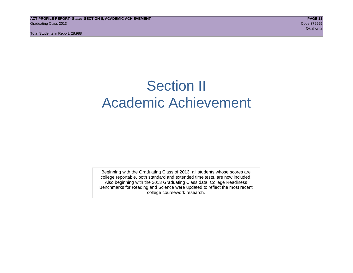## Section II Academic Achievement

Beginning with the Graduating Class of 2013, all students whose scores are college reportable, both standard and extended time tests, are now included. Also beginning with the 2013 Graduating Class data, College Readiness Benchmarks for Reading and Science were updated to reflect the most recent college coursework research.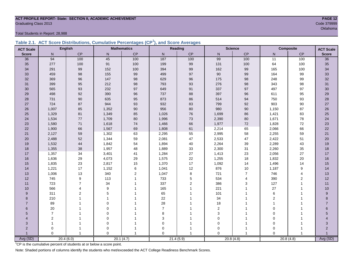## **ACT PROFILE REPORT- State: SECTION II, ACADEMIC ACHIEVEMENT PAGE 12** Graduating Class 2013 Code 379999

Total Students in Report: 28,988

|  | Table 2.1. ACT Score Distributions, Cumulative Percentages (CP <sup>1</sup> ), and Score Averages |  |  |  |
|--|---------------------------------------------------------------------------------------------------|--|--|--|
|  |                                                                                                   |  |  |  |

| <b>ACT Scale</b> |                         | <b>English</b> |             | <b>Mathematics</b> |                | <b>Reading</b> |                | <b>Science</b> |                 | Composite      | <b>ACT Scale</b> |
|------------------|-------------------------|----------------|-------------|--------------------|----------------|----------------|----------------|----------------|-----------------|----------------|------------------|
| <b>Score</b>     | N                       | <b>CP</b>      | N           | CP                 | N              | CP             | $\mathsf{N}$   | CP             | N               | CP             | <b>Score</b>     |
| 36               | 94                      | 100            | 45          | 100                | 187            | 100            | 99             | 100            | $\overline{11}$ | 100            | $\overline{36}$  |
| 35               | 277                     | 100            | 91          | 100                | 199            | 99             | 131            | 100            | 64              | 100            | 35               |
| 34               | 291                     | 99             | 152         | 100                | 394            | 99             | 162            | 99             | 165             | 100            | 34               |
| 33               | 459                     | 98             | 155         | 99                 | 499            | 97             | 90             | 99             | 164             | 99             | 33               |
| 32               | 369                     | 96             | 147         | 98                 | 629            | 96             | 175            | $98\,$         | 248             | 99             | 32               |
| 31               | 399                     | 95             | 212         | $98\,$             | 793            | 93             | 276            | $98\,$         | 343             | 98             | 31               |
| 30               | 565                     | 93             | 232         | 97                 | 649            | 91             | 337            | 97             | 497             | 97             | 30               |
| 29               | 498                     | 92             | 390         | 96                 | 737            | 88             | 397            | 96             | 611             | 95             | 29               |
| 28               | 731                     | 90             | 635         | 95                 | 873            | 86             | 514            | 94             | 750             | 93             | 28               |
| 27               | 724                     | 87             | 944         | 93                 | 932            | 83             | 799            | 92             | 903             | 90             | $27\,$           |
| 26               | 1,007                   | 85             | 1,352       | $90\,$             | 956            | 80             | 980            | $90\,$         | 1,150           | 87             | $26\,$           |
| 25               | 1,329                   | 81             | 1,349       | 85                 | 1,026          | 76             | 1,699          | 86             | 1,421           | 83             | 25               |
| 24               | 1,534                   | 77             | 1,709       | 80                 | 1,996          | 73             | 2,390          | 80             | 1,671           | 78             | 24               |
| 23               | 1,580                   | $71$           | 1,618       | $74\,$             | 1,466          | 66             | 1,977          | $72\,$         | 1,828           | 72             | 23               |
| 22               | 1,900                   | 66             | 1,567       | 69                 | 1,808          | 61             | 2,214          | 65             | 2,066           | 66             | 22               |
| 21               | 2,127                   | 59             | 1,302       | 63                 | 2,295          | 55             | 2,995          | 58             | 2,255           | 59             | 21               |
| 20               | 2,488                   | 52             | 1,344       | 59                 | 2,081          | 47             | 2,533          | 47             | 2,422           | 51             | 20               |
| 19               | 1,532                   | 44             | 1,842       | 54                 | 1,894          | 40             | 2,264          | 39             | 2,289           | 43             | 19               |
| 18               | 1,355                   | 38             | 1,957       | 48                 | 1,889          | 33             | 2,300          | 31             | 2,260           | 35             | 18               |
| 17               | 1,357                   | 34             | 3,401       | 41                 | 1,284          | 27             | 1,413          | 23             | 2,056           | 27             | 17               |
| 16               | 1,636                   | 29             | 4,073       | 29                 | 1,575          | 22             | 1,255          | 18             | 1,832           | 20             | 16               |
| 15               | 1,835                   | 23             | 2,817       | 15                 | 1,370          | 17             | 1,092          | 14             | 1,496           | 14             | 15               |
| 14               | 1,221                   | 17             | 1,152       | 6                  | 1,041          | 12             | 876            | $10$           | 1,187           | 9              | 14               |
| 13               | 1,006                   | 13             | 340         | $\overline{2}$     | 1,047          | 8              | 721            | $\overline{7}$ | 746             | $\overline{4}$ | 13               |
| 12               | 745                     | 9              | 113         | $\overline{1}$     | 733            | 5              | 534            | 4              | 390             | 2              | 12               |
| 11               | 723                     | $\overline{7}$ | 34          |                    | 337            | $\overline{2}$ | 386            | 3              | 127             | $\mathbf{1}$   | 11               |
| 10               | 566                     | $\overline{4}$ | 9           |                    | 165            | 1              | 221            | 1              | 27              | 1              | 10               |
| 9                | 311                     | $\overline{2}$ | 5           |                    | 65             |                | 101            | 1              | 6               | 1              | $\boldsymbol{9}$ |
| 8                | 210                     |                | 1           |                    | 22             |                | 34             |                | $\overline{2}$  |                | 8                |
| $\overline{7}$   | 89                      |                | $\Omega$    |                    | 28             |                | 18             |                | $\overline{1}$  |                | $\overline{7}$   |
| 6                | 20                      |                | $\Omega$    |                    | $\overline{7}$ |                | $\overline{2}$ |                | $\mathbf 0$     |                | 6                |
| 5                | $\overline{7}$          |                | $\mathbf 0$ |                    | 8              |                | 3              |                | $\mathbf 0$     |                | 5                |
| 4                | $\overline{\mathbf{c}}$ |                | $\pmb{0}$   |                    | 3              |                | $\mathbf 0$    |                | $\mathbf 0$     |                |                  |
| 3                | $\mathbf{1}$            |                | $\mathbf 0$ |                    | 0              |                | $\Omega$       | 1              | $\mathbf 0$     |                | 3                |
| $\overline{2}$   | 0                       |                | 0           |                    | 0              |                | 0              | 1              | $\mathbf 0$     |                | $\overline{2}$   |
|                  | $\Omega$                | $\overline{1}$ | $\Omega$    |                    | $\Omega$       | 1              | $\Omega$       | $\overline{1}$ | $\Omega$        |                |                  |
| Avg (SD)         |                         | 20.4(6.0)      |             | 20.1(4.7)          |                | 21.4(5.9)      |                | 20.8(4.8)      |                 | 20.8(4.8)      | Avg (SD)         |

<sup>1</sup>CP is the cumulative percent of students at or below a score point.

Note: Shaded portions of columns identify the students who met/exceeded the ACT College Readiness Benchmark Scores.

Oklahoma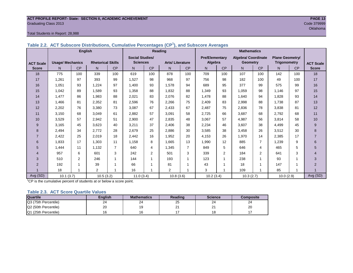## **ACT PROFILE REPORT- State: SECTION II, ACADEMIC ACHIEVEMENT PAGE 13** Graduating Class 2013 Code 379999

## Total Students in Report: 28,988

| Table 2.2. ACT Subscore Distributions, Cumulative Percentages (CP <sup>1</sup> ), and Subscore Averages |  |  |
|---------------------------------------------------------------------------------------------------------|--|--|
|                                                                                                         |  |  |

|                  |                         | <b>English</b> |                          |                |                        |                | Reading                |                          |                       |                | <b>Mathematics</b>         |           |                        |     |                  |
|------------------|-------------------------|----------------|--------------------------|----------------|------------------------|----------------|------------------------|--------------------------|-----------------------|----------------|----------------------------|-----------|------------------------|-----|------------------|
|                  |                         |                |                          |                | <b>Social Studies/</b> |                |                        |                          | <b>Pre/Elementary</b> |                | <b>Algebra/ Coordinate</b> |           | <b>Plane Geometry/</b> |     |                  |
| <b>ACT Scale</b> | <b>Usage/ Mechanics</b> |                | <b>Rhetorical Skills</b> |                | <b>Sciences</b>        |                | <b>Arts/Literature</b> |                          | Algebra               |                | <b>Geometry</b>            |           | <b>Trigonometry</b>    |     | <b>ACT Scale</b> |
| <b>Score</b>     | N.                      | CP             | N                        | CP             | N                      | CP             | N                      | CP                       | N.                    | CP             | N                          | <b>CP</b> | N <sub>1</sub>         | CP  | <b>Score</b>     |
| 18               | 775                     | 100            | 339                      | 100            | 619                    | 100            | 878                    | 100                      | 709                   | 100            | 107                        | 100       | 142                    | 100 | 18               |
| 17               | 1,261                   | 97             | 393                      | 99             | 1,527                  | 98             | 968                    | 97                       | 756                   | 98             | 182                        | 100       | 49                     | 100 | 17               |
| 16               | 1,051                   | 93             | 1,224                    | 97             | 1,400                  | 93             | 1,578                  | 94                       | 689                   | 95             | 377                        | 99        | 575                    | 99  | 16               |
| 15               | 1,042                   | 89             | 1,589                    | 93             | 1,358                  | 88             | 1,832                  | 88                       | 1,349                 | 93             | 1,059                      | 98        | 1,146                  | 97  | 15               |
| 14               | 1,477                   | 86             | 1,983                    | 88             | 2,021                  | 83             | 2,076                  | 82                       | 1,478                 | 88             | 1,640                      | 94        | 1,828                  | 93  | 14               |
| 13               | 1,466                   | 81             | 2,352                    | 81             | 2,596                  | 76             | 2,266                  | 75                       | 2,409                 | 83             | 2,998                      | 88        | 1,738                  | 87  | 13               |
| 12               | 2,202                   | 76             | 3,380                    | 73             | 3,087                  | 67             | 2,433                  | 67                       | 2,487                 | 75             | 2,836                      | 78        | 3,838                  | 81  | 12               |
| 11               | 3,150                   | 68             | 3,049                    | 61             | 2,882                  | 57             | 3,091                  | 58                       | 2,725                 | 66             | 3,687                      | 68        | 2,792                  | 68  | 11               |
| 10               | 3,529                   | 57             | 2,942                    | 51             | 2,900                  | 47             | 2,835                  | 48                       | 3,067                 | 57             | 4,987                      | 56        | 3,814                  | 58  | 10               |
| 9                | 3,165                   | 45             | 3,623                    | 40             | 3,211                  | 37             | 2,406                  | 38                       | 2,234                 | 46             | 3,607                      | 38        | 4,499                  | 45  | 9                |
| 8                | 2,494                   | 34             | 2,772                    | 28             | 2,679                  | 25             | 2,886                  | 30                       | 3,585                 | 38             | 3,458                      | 26        | 3,512                  | 30  | 8                |
| $\overline{7}$   | 2,422                   | 25             | 2,019                    | 18             | 2,442                  | 16             | 1,952                  | 20                       | 4,153                 | 26             | 1,970                      | 14        | 2,385                  | 17  | $\overline{7}$   |
| 6                | 1,833                   | 17             | 1,303                    | 11             | 1,158                  | 8              | 1,665                  | 13                       | 1,990                 | 12             | 885                        | 7         | 1,239                  | 9   | 6                |
| 5                | 1,444                   | 11             | 1,132                    | $\overline{7}$ | 640                    | 4              | 1,345                  | 7                        | 849                   | 5              | 646                        | 4         | 465                    | 5   | 5                |
| $\overline{4}$   | 957                     | 6              | 601                      | 3              | 242                    | $\overline{2}$ | 501                    | 3                        | 339                   | $\overline{2}$ | 184                        | 2         | 641                    | 3   | $\overline{4}$   |
| 3                | 510                     | $\overline{2}$ | 246                      |                | 144                    |                | 193                    | 1                        | 123                   |                | 238                        | 1         | 93                     |     | 3                |
| 2                | 192                     |                | 39                       |                | 66                     |                | 81                     |                          | 43                    |                | 18                         | 1         | 147                    |     | $\overline{2}$   |
|                  | 18                      |                | $\overline{2}$           |                | 16                     |                | $\overline{2}$         | $\overline{\phantom{a}}$ | 3                     | 4              | 109                        | 1         | 85                     | 1   |                  |
| Avg (SD)         | 10.1(3.7)               |                | 10.5(3.2)                |                | 11.0(3.4)              |                | 10.8(3.6)              |                          | 10.2(3.4)             |                | 10.3(2.7)                  |           | 10.0(2.9)              |     | Avg (SD)         |

<sup>1</sup>CP is the cumulative percent of students at or below a score point.

## **Table 2.3. ACT Score Quartile Values**

| <b>Quartile</b>      | <b>Enalish</b> | <b>Mathematics</b> | Reading | <b>Science</b> | Composite |
|----------------------|----------------|--------------------|---------|----------------|-----------|
| Q3 (75th Percentile) | 24             | 24                 | 25      | 24             | 24        |
| Q2 (50th Percentile) | 20             |                    | n.<br>∠ | ິ<br>-         | 20        |
| Q1 (25th Percentile) |                |                    |         | י ^<br>۱o      |           |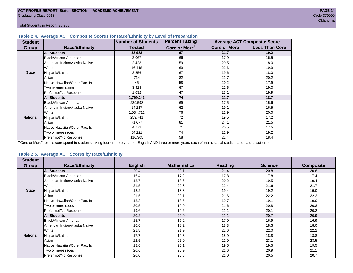## **Table 2.4. Average ACT Composite Scores for Race/Ethnicity by Level of Preparation**

| <b>Student</b>  |                                 | <b>Number of Students</b> | <b>Percent Taking</b>     |                     | <b>Average ACT Composite Score</b> |
|-----------------|---------------------------------|---------------------------|---------------------------|---------------------|------------------------------------|
| <b>Group</b>    | <b>Race/Ethnicity</b>           | <b>Tested</b>             | Core or More <sup>1</sup> | <b>Core or More</b> | <b>Less Than Core</b>              |
|                 | <b>All Students</b>             | 28,988                    | 67                        | 21.7                | 19.2                               |
|                 | <b>Black/African American</b>   | 2,067                     | 66                        | 17.9                | 16.5                               |
|                 | American Indian/Alaska Native   | 2,428                     | 59                        | 20.5                | 18.0                               |
|                 | White                           | 16,418                    | 69                        | 22.6                | 19.9                               |
| <b>State</b>    | Hispanic/Latino                 | 2,856                     | 67                        | 19.6                | 18.0                               |
|                 | Asian                           | 714                       | 82                        | 22.7                | 20.2                               |
|                 | Native Hawaiian/Other Pac. Isl. | 45                        | 58                        | 20.2                | 17.9                               |
|                 | Two or more races               | 3,428                     | 67                        | 21.6                | 19.3                               |
|                 | Prefer not/No Response          | 1,032                     | 47                        | 23.1                | 19.9                               |
|                 | <b>All Students</b>             | 1,799,243                 | 74                        | 21.7                | 18.7                               |
|                 | Black/African American          | 239,598                   | 69                        | 17.5                | 15.6                               |
|                 | American Indian/Alaska Native   | 14,217                    | 62                        | 19.1                | 16.5                               |
|                 | <b>I</b> White                  | 1,034,712                 | 76                        | 22.9                | 20.0                               |
| <b>National</b> | Hispanic/Latino                 | 259,741                   | 72                        | 19.5                | 17.2                               |
|                 | Asian                           | 71,677                    | 81                        | 24.1                | 21.5                               |
|                 | Native Hawaiian/Other Pac. Isl. | 4,772                     | 71                        | 20.5                | 17.5                               |
|                 | Two or more races               | 64,221                    | 74                        | 21.9                | 19.2                               |
|                 | Prefer not/No Response          | 110,305                   | 58                        | 22.4                | 18.4                               |

<sup>1</sup>"Core or More" results correspond to students taking four or more years of English AND three or more years each of math, social studies, and natural science.

## **Table 2.5. Average ACT Scores by Race/Ethnicity**

| <b>Student</b>  |                                 |                |                    |                |                |                  |
|-----------------|---------------------------------|----------------|--------------------|----------------|----------------|------------------|
| Group           | <b>Race/Ethnicity</b>           | <b>English</b> | <b>Mathematics</b> | <b>Reading</b> | <b>Science</b> | <b>Composite</b> |
|                 | <b>All Students</b>             | 20.4           | 20.1               | 21.4           | 20.8           | 20.8             |
|                 | Black/African American          | 16.4           | 17.2               | 17.8           | 17.8           | 17.4             |
|                 | American Indian/Alaska Native   | 18.7           | 18.6               | 20.2           | 19.5           | 19.4             |
|                 | White                           | 21.5           | 20.8               | 22.4           | 21.6           | 21.7             |
| <b>State</b>    | Hispanic/Latino                 | 18.2           | 18.8               | 19.4           | 19.2           | 19.0             |
|                 | Asian                           | 21.5           | 23.1               | 21.6           | 22.2           | 22.2             |
|                 | Native Hawaiian/Other Pac. Isl. | 18.3           | 18.5               | 19.7           | 19.1           | 19.0             |
|                 | Two or more races               | 20.5           | 19.9               | 21.6           | 20.8           | 20.8             |
|                 | Prefer not/No Response          | 19.6           | 19.6               | 21.1           | 20.1           | 20.2             |
|                 | <b>All Students</b>             | 20.2           | 20.9               | 21.1           | 20.7           | 20.9             |
|                 | <b>Black/African American</b>   | 15.7           | 17.2               | 17.0           | 16.9           | 16.9             |
|                 | American Indian/Alaska Native   | 16.6           | 18.2               | 18.3           | 18.3           | 18.0             |
|                 | White                           | 21.8           | 21.9               | 22.6           | 22.0           | 22.2             |
| <b>National</b> | Hispanic/Latino                 | 17.7           | 19.3               | 18.9           | 18.8           | 18.8             |
|                 | Asian                           | 22.5           | 25.0               | 22.9           | 23.1           | 23.5             |
|                 | Native Hawaiian/Other Pac. Isl. | 18.6           | 20.1               | 19.5           | 19.5           | 19.5             |
|                 | Two or more races               | 20.6           | 20.9               | 21.6           | 20.9           | 21.1             |
|                 | Prefer not/No Response          | 20.0           | 20.8               | 21.0           | 20.5           | 20.7             |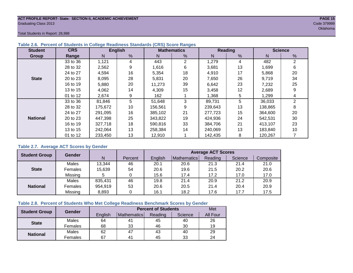## **ACT PROFILE REPORT- State: SECTION II, ACADEMIC ACHIEVEMENT PAGE 15** Graduating Class 2013 Code 379999

Total Students in Report: 28,988

| <b>Student</b>  | <b>CRS</b> |         | <b>English</b> |         | <b>Mathematics</b> |         | <b>Reading</b> | <b>Science</b> |                |  |
|-----------------|------------|---------|----------------|---------|--------------------|---------|----------------|----------------|----------------|--|
| Group           | Range      | N       | %              | N       | %                  | N       | %              | N              | %              |  |
|                 | 33 to 36   | 1,121   | 4              | 443     | $\overline{2}$     | 1,279   | 4              | 482            | $\overline{2}$ |  |
|                 | 28 to 32   | 2,562   | 9              | 1,616   | 6                  | 3,681   | 13             | 1,699          | 6              |  |
|                 | 24 to 27   | 4,594   | 16             | 5,354   | 18                 | 4,910   | 17             | 5,868          | 20             |  |
| <b>State</b>    | 20 to 23   | 8,095   | 28             | 5,831   | 20                 | 7,650   | 26             | 9,719          | 34             |  |
|                 | 16 to 19   | 5,880   | 20             | 11,273  | 39                 | 6,642   | 23             | 7,232          | 25             |  |
|                 | 13 to 15   | 4,062   | 14             | 4,309   | 15                 | 3,458   | 12             | 2,689          | 9              |  |
|                 | 01 to 12   | 2,674   | 9              | 162     |                    | 1,368   | 5              | 1,299          | 4              |  |
|                 | 33 to 36   | 81,846  | 5              | 51,648  | 3                  | 89,731  | 5              | 36,033         | 2              |  |
|                 | 28 to 32   | 175,672 | 10             | 156,561 | 9                  | 239,643 | 13             | 138,865        | 8              |  |
|                 | 24 to 27   | 291,095 | 16             | 385,102 | 21                 | 277,723 | 15             | 364,600        | 20             |  |
| <b>National</b> | 20 to 23   | 447.398 | 25             | 343,822 | 19                 | 424,936 | 24             | 542.531        | 30             |  |
|                 | 16 to 19   | 327,718 | 18             | 590,816 | 33                 | 384,706 | 21             | 413.107        | 23             |  |
|                 | 13 to 15   | 242,064 | 13             | 258,384 | 14                 | 240.069 | 13             | 183,840        | 10             |  |
|                 | 01 to 12   | 233,450 | 13             | 12,910  |                    | 142,435 | 8              | 120,267        |                |  |

## **Table 2.6. Percent of Students in College Readiness Standards (CRS) Score Ranges**

## **Table 2.7. Average ACT Scores by Gender**

| <b>Student Group</b> | <b>Gender</b> |         |         | <b>Average ACT Scores</b> |             |         |         |           |  |  |  |  |
|----------------------|---------------|---------|---------|---------------------------|-------------|---------|---------|-----------|--|--|--|--|
|                      |               | N       | Percent | Enalish                   | Mathematics | Reading | Science | Composite |  |  |  |  |
|                      | Males         | 13,344  | 46      | 20.1                      | 20.6        | 21.3    | 21.4    | 21.0      |  |  |  |  |
| <b>State</b>         | Females       | 15,639  | 54      | 20.6                      | 19.6        | 21.5    | 20.2    | 20.6      |  |  |  |  |
|                      | Missing       |         |         | 15.6                      | 17.4        | 17.2    | 17.0    | 17.0      |  |  |  |  |
|                      | Males         | 835,431 | 46      | 19.8                      | 21.4        | 20.9    | 21.2    | 20.9      |  |  |  |  |
| <b>National</b>      | Females       | 954,919 | 53      | 20.6                      | 20.5        | 21.4    | 20.4    | 20.9      |  |  |  |  |
|                      | Missing       | 8,893   | 0       | 16.1                      | 18.2        | 17.6    | 17.7    | 17.5      |  |  |  |  |

## **Table 2.8. Percent of Students Who Met College Readiness Benchmark Scores by Gender**

| <b>Student Group</b> | Gender  |         | Met            |         |         |          |
|----------------------|---------|---------|----------------|---------|---------|----------|
|                      |         | English | Mathematics    | Reading | Science | All Four |
| <b>State</b>         | Males   | 64      | 4 <sub>1</sub> | 45      | 40      | 26       |
|                      | Females | 68      | 33             | 46      | 30      | 19       |
|                      | Males   | 62      | 47             | 43      | 40      | 29       |
| <b>National</b>      | Females | 67      | $4^{\prime}$   | 45      | 33      | 24       |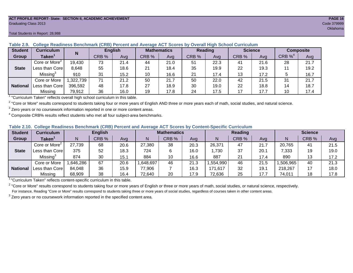### **ACT PROFILE REPORT- State: SECTION II, ACADEMIC ACHIEVEMENT PAGE 16** Graduating Class 2013 Code 379999

#### **Student Curriculum English Mathematics Reading Science Composite Group Taken<sup>1</sup> | III CRB** % | Avg | CRB % | Avg | CRB % | Avg | CRB % | CRB %<sup>4</sup> Avg Core or More<sup>2</sup> 19,430 | 73 | 21.4 | 44 | 21.0 | 51 | 22.3 | 41 | 21.6 | 28 | 21.7 Less than Core | 8,648 | 55 | 18.6 | 21 | 18.4 | 35 | 19.9 | 22 | 19.3 | 11 | 19.2 Missing<sup>3</sup> 910 | 31 | 15.2 | 10 | 16.6 | 21 | 17.4 | 13 | 17.2 | 5 | 16.7 Core or More | 1,322,739 | 71 | 21.2 | 50 | 250 | 22.0 | 42 | 21.5 | 31 | 21.7 Less than Core 396,592 48 17.8 27 18.9 30 19.0 22 18.8 14 18.7 Missing | 79,912 | 36 | 16.0 | 19 | 17.8 | 24 | 17.5 | 17 | 17.7 | 10 | 17.4 **N State National**

**Table 2.9. College Readiness Benchmark (CRB) Percent and Average ACT Scores by Overall High School Curriculum**

<sup>1</sup> "Curriculum Taken" reflects overall high school curriculum in this table.

 $^2$  "Core or More" results correspond to students taking four or more years of English AND three or more years each of math, social studies, and natural science.

 $3$  Zero years or no coursework information reported in one or more content areas.

 $4$  Composite CRB% results reflect students who met all four subject-area benchmarks.

|  |  | Table 2.10. College Readiness Benchmark (CRB) Percent and Average ACT Scores by Content-Specific Curriculum |
|--|--|-------------------------------------------------------------------------------------------------------------|
|  |  |                                                                                                             |

| <b>Student</b>  | Curriculum                    | <b>English</b> |       |      | <b>Mathematics</b> |       |      | <b>Reading</b> |       |      | <b>Science</b> |       |      |
|-----------------|-------------------------------|----------------|-------|------|--------------------|-------|------|----------------|-------|------|----------------|-------|------|
| Group           | $\mathsf{Taken}^{\mathsf{T}}$ |                | CRB % | Avg  | N                  | CRB % | Avg  | N              | CRB % | Avg  | N              | CRB % | Avg  |
|                 | Core or More <sup>2</sup>     | 27,739         | 68    | 20.6 | 27,380             | 38    | 20.3 | 26,371         | 47    | 21.7 | 20,765         | 41    | 21.5 |
| <b>State</b>    | Less than Corel               | 375            | 52    | 18.3 | 724                |       | 16.0 | .730           | 37    | 20.1 | 7,333          | 19    | 19.0 |
|                 | Missing <sup>3</sup>          | 874            | 30    | 15.1 | 884                | 10    | 16.6 | 887            | 21    | 17.4 | 890            |       | 17.2 |
|                 | Core or More                  | .646,286       | 67    | 20.6 | 648,697            | 46    | 21.3 | ,554,990       | 46    | 21.5 | ,506,965       | 40    | 21.3 |
| <b>National</b> | Less than Core                | 84,048         | 36    | 15.9 | 77,906             |       | 16.3 | 171,617        | 32    | 19.1 | 218,267        |       | 18.0 |
|                 | Missing                       | 68,909         | 38    | 16.4 | 72,640             | 20    | 17.9 | 72,636         | 25    | 17.7 | 74,011         | 18    | 17.8 |

<sup>1</sup>"Curriculum Taken" reflects content-specific curriculum in this table.

<sup>2</sup> "Core or More" results correspond to students taking four or more years of English or three or more years of math, social studies, or natural science, respectively. For instance, Reading "Core or More" results correspond to students taking three or more years of social studies, regardless of courses taken in other content areas.

 $3$  Zero years or no coursework information reported in the specified content area.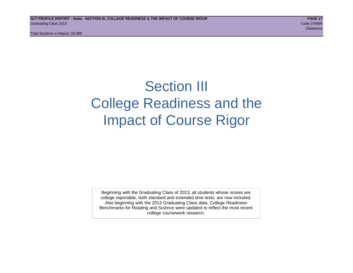## Section III College Readiness and the Impact of Course Rigor

Beginning with the Graduating Class of 2013, all students whose scores are college reportable, both standard and extended time tests, are now included. Also beginning with the 2013 Graduating Class data, College Readiness Benchmarks for Reading and Science were updated to reflect the most recent college coursework research.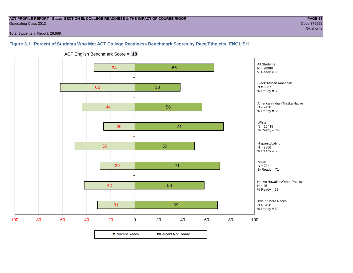## **ACT PROFILE REPORT - State: SECTION III, COLLEGE READINESS & THE IMPACT OF COURSE RIGOR PAGE 18** Graduating Class 2013 Code 379999

Total Students in Report: 28,988

## **Figure 3.1. Percent of Students Who Met ACT College Readiness Benchmark Scores by Race/Ethnicity: ENGLISH**



ACT English Benchmark Score = **18**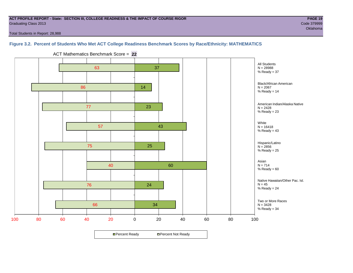## **ACT PROFILE REPORT - State: SECTION III, COLLEGE READINESS & THE IMPACT OF COURSE RIGOR PAGE 19** Graduating Class 2013 Code 379999

Total Students in Report: 28,988

## **Figure 3.2. Percent of Students Who Met ACT College Readiness Benchmark Scores by Race/Ethnicity: MATHEMATICS**





**□ Percent Ready DPercent Not Ready**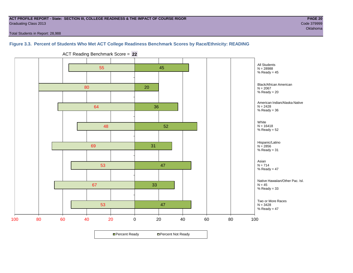## **ACT PROFILE REPORT - State: SECTION III, COLLEGE READINESS & THE IMPACT OF COURSE RIGOR PAGE 20** Graduating Class 2013 Code 379999

oklahoma na matamatang katalog sa kabupatèn Kabupatèn Kabupatèn Kabupatèn Kabupatèn Kabupatèn Kabupatèn Kabupa

Total Students in Report: 28,988

## **Figure 3.3. Percent of Students Who Met ACT College Readiness Benchmark Scores by Race/Ethnicity: READING**



ACT Reading Benchmark Score = **22**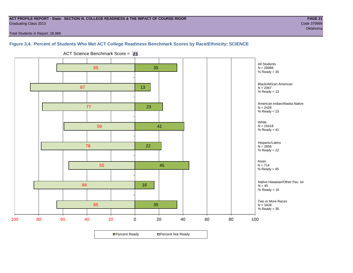## **ACT PROFILE REPORT - State: SECTION III, COLLEGE READINESS & THE IMPACT OF COURSE RIGOR PAGE 21** Graduating Class 2013 Code 379999

oklahoma na matamatang katalog sa kabupatèn Kabupatèn Kabupatèn Kabupatèn Kabupatèn Kabupatèn Kabupatèn Kabupa

Total Students in Report: 28,988

## **Figure 3.4. Percent of Students Who Met ACT College Readiness Benchmark Scores by Race/Ethnicity: SCIENCE**



ACT Science Benchmark Score = **23**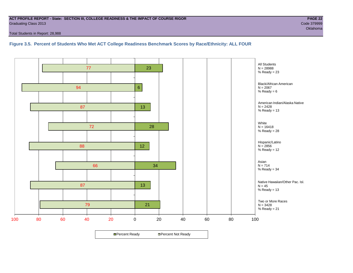## **ACT PROFILE REPORT - State: SECTION III, COLLEGE READINESS & THE IMPACT OF COURSE RIGOR PAGE 22** Graduating Class 2013 Code 379999

Total Students in Report: 28,988

**Figure 3.5. Percent of Students Who Met ACT College Readiness Benchmark Scores by Race/Ethnicity: ALL FOUR**

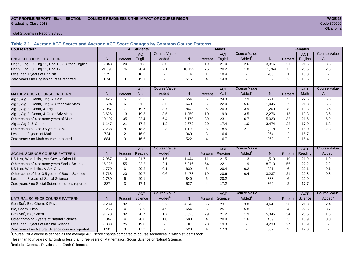## **ACT PROFILE REPORT - State: SECTION III, COLLEGE READINESS & THE IMPACT OF COURSE RIGOR PAGE 23** Graduating Class 2013 Code 379999

Total Students in Report: 28,988

**Table 3.1. Average ACT Scores and Average ACT Score Changes by Common Course Patterns**

| <b>Course Pattern</b>                            |                |                | <b>All Students</b> |                     | <b>Males</b><br><b>Females</b> |                |            |                     |           |                |            |                        |
|--------------------------------------------------|----------------|----------------|---------------------|---------------------|--------------------------------|----------------|------------|---------------------|-----------|----------------|------------|------------------------|
|                                                  |                |                | <b>ACT</b>          | Course Value        |                                |                | <b>ACT</b> | <b>Course Value</b> |           |                | <b>ACT</b> | <b>Course Value</b>    |
| <b>ENGLISH COURSE PATTERN</b>                    | N.             | Percent        | English             | Added <sup>1</sup>  | N                              | Percent        | English    | Added               | N         | Percent        | English    | Added <sup>1</sup>     |
| Eng 9, Eng 10, Eng 11, Eng 12, & Other English   | 5,843          | 20             | 21.3                | 3.0                 | 2,526                          | 19             | 21.0       | 2.6                 | 3,316     | 21             | 21.6       | $\overline{3.3}$       |
| Eng 9, Eng 10, Eng 11, Eng 12                    | 21,896         | 76             | 20.4                | 2.1                 | 10,129                         | 76             | 20.2       | 1.8                 | 11,764    | 75             | 20.6       | 2.3                    |
| Less than 4 years of English                     | 375            |                | 18.3                |                     | 174                            | $\mathbf{1}$   | 18.4       |                     | 200       | -1             | 18.3       |                        |
| Zero years / no English courses reported         | 874            | 3              | 15.1                |                     | 515                            | $\overline{4}$ | 14.8       |                     | 359       | $\overline{2}$ | 15.5       |                        |
|                                                  |                |                | <b>ACT</b>          | <b>Course Value</b> |                                |                | <b>ACT</b> | <b>Course Value</b> |           |                | <b>ACT</b> | <b>Course Value</b>    |
| <b>MATHEMATICS COURSE PATTERN</b>                | N <sub>1</sub> | Percent        | Math                | Added               | N.                             | Percent        | Math       | Added               | N         | Percent        | Math       | Added <sup>1</sup>     |
| Alg 1, Alg 2, Geom, Trig, & Calc                 | 1.426          | 5              | 23.3                | 7.3                 | 654                            | 5              | 24.3       | 7.9                 | 771       | 5              | 22.5       | 6.8                    |
| Alg 1, Alg 2, Geom, Trig, & Other Adv Math       | 1.694          | 6              | 21.6                | 5.6                 | 649                            | 5              | 22.0       | 5.6                 | 1,045     | $\overline{7}$ | 21.3       | 5.6                    |
| Alg 1, Alg 2, Geom, & Trig                       | 2,057          | $\overline{7}$ | 19.7                | 3.7                 | 847                            | 6              | 20.3       | 3.9                 | 1,209     | 8              | 19.3       | 3.6                    |
| Alg 1, Alg 2, Geom, & Other Adv Math             | 3.626          | 13             | 19.5                | 3.5                 | 1,350                          | 10             | 19.9       | 3.5                 | 2,276     | 15             | 19.3       | 3.6                    |
| Other comb of 4 or more years of Math            | 10,192         | 35             | 22.4                | 6.4                 | 5,170                          | 39             | 23.1       | 6.7                 | 5,020     | 32             | 21.6       | 5.9                    |
| Alg 1, Alg 2, & Geom                             | 6,147          | 21             | 17.2                | 1.2                 | 2,672                          | 20             | 17.4       | 1.0                 | 3,474     | 22             | 17.0       | 1.3                    |
| Other comb of 3 or 3.5 years of Math             | 2,238          | 8              | 18.3                | 2.3                 | 1,120                          | 8              | 18.5       | 2.1                 | 1,118     | $\overline{7}$ | 18.0       | 2.3                    |
| Less than 3 years of Math                        | 724            | $\overline{2}$ | 16.0                |                     | 360                            | 3              | 16.4       | $\sim$              | 364       | $\overline{2}$ | 15.7       |                        |
| Zero years / no Math courses reported            | 884            | 3              | 16.6                |                     | 522                            | $\overline{4}$ | 16.7       |                     | 362       | $\overline{2}$ | 16.4       |                        |
|                                                  |                |                | <b>ACT</b>          | <b>Course Value</b> |                                |                | <b>ACT</b> | <b>Course Value</b> |           |                | <b>ACT</b> | <b>Course Value</b>    |
| SOCIAL SCIENCE COURSE PATTERN                    | N              | Percent        | Reading             | Added               | N                              | Percent        | Reading    | Added               | ${\sf N}$ | Percent        | Reading    | A d d e d <sup>1</sup> |
| US Hist, World Hist, Am Gov, & Other Hist        | 2,957          | 10             | 21.7                | 1.6                 | 1,444                          | 11             | 21.5       | 1.3                 | 1,513     | 10             | 21.9       | 1.9                    |
| Other comb of 4 or more years Social Science     | 15,926         | 55             | 22.2                | 2.1                 | 7,216                          | 54             | 22.1       | 1.9                 | 8,710     | 56             | 22.2       | 2.2                    |
| US Hist, World Hist, & Am Gov                    | 1,770          | 6              | 20.2                | 0.1                 | 839                            | 6              | 20.4       | 0.2                 | 931       | 6              | 20.1       | 0.1                    |
| Other comb of 3 or 3.5 years of Social Science   | 5,718          | 20             | 20.7                | 0.6                 | 2,478                          | 19             | 20.6       | 0.4                 | 3,237     | 21             | 20.8       | 0.8                    |
| Less than 3 years of Social Science              | 1,730          | 6              | 20.1                |                     | 840                            | 6              | 20.2       |                     | 888       | 6              | 20.0       |                        |
| Zero years / no Social Science courses reported  | 887            | 3              | 17.4                |                     | 527                            | $\overline{4}$ | 17.2       |                     | 360       | $\overline{2}$ | 17.7       |                        |
|                                                  |                |                | <b>ACT</b>          | <b>Course Value</b> |                                |                | <b>ACT</b> | <b>Course Value</b> |           |                | <b>ACT</b> | <b>Course Value</b>    |
| NATURAL SCIENCE COURSE PATTERN                   | N.             | Percent        | Science             | Added               | N.                             | Percent        | Science    | Added               | N         | Percent        | Science    | Added <sup>1</sup>     |
| Gen Sci <sup>2</sup> , Bio, Chem, & Phys         | 9,289          | 32             | 22.2                | 3.2                 | 4,646                          | 35             | 23.1       | 3.8                 | 4,641     | 30             | 21.3       | 2.4                    |
| Bio, Chem, Phys                                  | 1,256          | 4              | 23.9                | 4.9                 | 654                            | $\sqrt{5}$     | 25.1       | 5.8                 | 602       | 4              | 22.6       | 3.7                    |
| Gen Sci <sup>2</sup> , Bio, Chem                 | 9,173          | 32             | 20.7                | 1.7                 | 3,825                          | 29             | 21.2       | 1.9                 | 5,345     | 34             | 20.5       | 1.6                    |
| Other comb of 3 years of Natural Science         | 1,047          | $\overline{4}$ | 20.0                | 1.0                 | 588                            | $\overline{4}$ | 20.9       | 1.6                 | 459       | 3              | 18.9       | 0.0                    |
| Less than 3 years of Natural Science             | 7,333          | 25             | 19.0                |                     | 3,103                          | 23             | 19.3       |                     | 4,230     | 27             | 18.9       |                        |
| Zero years / no Natural Science courses reported | 890            | 3              | 17.2                |                     | 528                            | $\overline{4}$ | 17.3       |                     | 362       | $\overline{2}$ | 17.0       |                        |

<sup>1</sup>Course value added is defined as the average ACT score change compared to course sequences in which students took

less than four years of English or less than three years of Mathematics, Social Science or Natural Science.

<sup>2</sup>Includes General, Physical and Earth Sciences.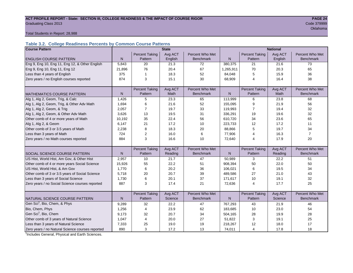## ACT PROFILE REPORT - State: SECTION III, COLLEGE READINESS & THE IMPACT OF COURSE RIGOR **PAGE 24** Graduating Class 2013 Code 379999

oklahoma na katalang katalang katalang na katalang na katalang na katalang na katalang na katalang na katalang

Total Students in Report: 28,988

## **Table 3.2. College Readiness Percents by Common Course Patterns**

| <b>Course Pattern</b>                            |              |                       | <b>State</b> |                  | <b>National</b> |                       |         |                  |  |
|--------------------------------------------------|--------------|-----------------------|--------------|------------------|-----------------|-----------------------|---------|------------------|--|
|                                                  |              | <b>Percent Taking</b> | Avg ACT      | Percent Who Met  |                 | <b>Percent Taking</b> | Avg ACT | Percent Who Met  |  |
| <b>ENGLISH COURSE PATTERN</b>                    | $\mathsf{N}$ | Pattern               | English      | <b>Benchmark</b> | N               | Pattern               | English | <b>Benchmark</b> |  |
| Eng 9, Eng 10, Eng 11, Eng 12, & Other English   | 5,843        | 20                    | 21.3         | 72               | 380,375         | 21                    | 21.6    | 73               |  |
| Eng 9, Eng 10, Eng 11, Eng 12                    | 21,896       | 76                    | 20.4         | 67               | 1,265,911       | 70                    | 20.3    | 65               |  |
| Less than 4 years of English                     | 375          | $\mathbf{1}$          | 18.3         | 52               | 84,048          | 5                     | 15.9    | 36               |  |
| Zero years / no English courses reported         | 874          | 3                     | 15.1         | 30               | 68,909          | $\overline{4}$        | 16.4    | 38               |  |
|                                                  |              |                       |              |                  |                 |                       |         |                  |  |
|                                                  |              | <b>Percent Taking</b> | Avg ACT      | Percent Who Met  |                 | <b>Percent Taking</b> | Avg ACT | Percent Who Met  |  |
| <b>MATHEMATICS COURSE PATTERN</b>                | N            | Pattern               | <b>Math</b>  | <b>Benchmark</b> | N               | Pattern               | Math    | <b>Benchmark</b> |  |
| Alg 1, Alg 2, Geom, Trig, & Calc                 | 1,426        | 5                     | 23.3         | 65               | 113,999         | 6                     | 23.8    | 68               |  |
| Alg 1, Alg 2, Geom, Trig, & Other Adv Math       | 1,694        | 6                     | 21.6         | 52               | 155,095         | 9                     | 21.9    | 56               |  |
| Alg 1, Alg 2, Geom, & Trig                       | 2,057        | $\overline{7}$        | 19.7         | 33               | 119,993         | 7                     | 19.4    | 32               |  |
| Alg 1, Alg 2, Geom, & Other Adv Math             | 3,626        | 13                    | 19.5         | 31               | 336,291         | 19                    | 19.6    | 32               |  |
| Other comb of 4 or more years of Math            | 10,192       | 35                    | 22.4         | 56               | 610,720         | 34                    | 23.6    | 65               |  |
| Alg 1, Alg 2, & Geom                             | 6.147        | 21                    | 17.2         | 10               | 223,733         | 12                    | 17.2    | 11               |  |
| Other comb of 3 or 3.5 years of Math             | 2,238        | 8                     | 18.3         | 20               | 88,866          | 5                     | 19.7    | 34               |  |
| Less than 3 years of Math                        | 724          | 2                     | 16.0         | 6                | 77,906          | 4                     | 16.3    | $\overline{7}$   |  |
| Zero years / no Math courses reported            | 884          | 3                     | 16.6         | 10               | 72,640          | 4                     | 17.9    | 20               |  |
|                                                  |              |                       |              |                  |                 |                       |         |                  |  |
|                                                  |              | <b>Percent Taking</b> | Avg ACT      | Percent Who Met  |                 | <b>Percent Taking</b> | Avg ACT | Percent Who Met  |  |
| SOCIAL SCIENCE COURSE PATTERN                    | N            | Pattern               | Reading      | <b>Benchmark</b> | $\mathsf{N}$    | Pattern               | Reading | <b>Benchmark</b> |  |
| US Hist, World Hist, Am Gov, & Other Hist        | 2,957        | 10                    | 21.7         | 47               | 50,989          | 3                     | 22.2    | 51               |  |
| Other comb of 4 or more years Social Science     | 15,926       | 55                    | 22.2         | 51               | 908,394         | 50                    | 22.0    | 50               |  |
| US Hist, World Hist, & Am Gov                    | 1,770        | 6                     | 20.2         | 36               | 106,021         | 6                     | 19.5    | 34               |  |
| Other comb of 3 or 3.5 years of Social Science   | 5,718        | 20                    | 20.7         | 39               | 489,586         | 27                    | 21.0    | 43               |  |
| Less than 3 years of Social Science              | 1,730        | 6                     | 20.1         | 37               | 171,617         | 10                    | 19.1    | 32               |  |
| Zero years / no Social Science courses reported  | 887          | 3                     | 17.4         | 21               | 72,636          | $\overline{4}$        | 17.7    | 25               |  |
|                                                  |              |                       |              |                  |                 |                       |         |                  |  |
|                                                  |              | <b>Percent Taking</b> | Avg ACT      | Percent Who Met  |                 | <b>Percent Taking</b> | Avg ACT | Percent Who Met  |  |
| NATURAL SCIENCE COURSE PATTERN                   | N            | Pattern               | Science      | <b>Benchmark</b> | N               | Pattern               | Science | <b>Benchmark</b> |  |
| Gen Sci <sup>1</sup> , Bio, Chem, & Phys         | 9,289        | 32                    | 22.2         | 47               | 767,293         | 43                    | 21.9    | 46               |  |
| Bio, Chem, Phys                                  | 1,256        | 4                     | 23.9         | 62               | 183,685         | 10                    | 23.0    | 54               |  |
| Gen Sci <sup>1</sup> , Bio, Chem                 | 9,173        | 32                    | 20.7         | 34               | 504,165         | 28                    | 19.9    | 28               |  |
| Other comb of 3 years of Natural Science         | 1,047        | $\overline{4}$        | 20.0         | 27               | 51,822          | 3                     | 19.1    | 25               |  |
| Less than 3 years of Natural Science             | 7,333        | 25                    | 19.0         | 19               | 218,267         | 12                    | 18.0    | 17               |  |
| Zero years / no Natural Science courses reported | 890          | 3                     | 17.2         | 13               | 74,011          | 4                     | 17.8    | 18               |  |

<sup>1</sup>Includes General, Physical and Earth Sciences.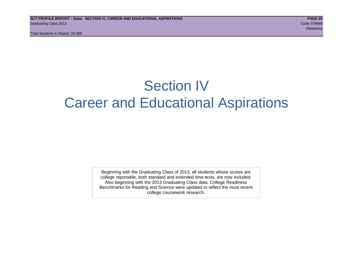## Section IV Career and Educational Aspirations

Beginning with the Graduating Class of 2013, all students whose scores are college reportable, both standard and extended time tests, are now included. Also beginning with the 2013 Graduating Class data, College Readiness Benchmarks for Reading and Science were updated to reflect the most recent college coursework research.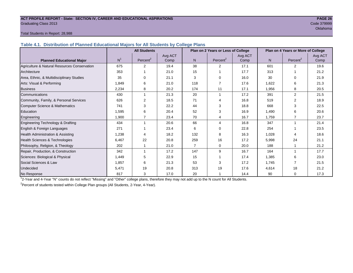## **ACT PROFILE REPORT - State: SECTION IV, CAREER AND EDUCATIONAL ASPIRATIONS PAGE 26** Graduating Class 2013 Code 379999

oklahoma na matamatang katalog sa kabilang na matamatang na matamatang na kabilang na kabilang na katalog sa p

## Total Students in Report: 28,988

**Table 4.1. Distribution of Planned Educational Majors for All Students by College Plans**

|                                              | <b>All Students</b> |                      |         |                | Plan on 2 Years or Less of College |         | Plan on 4 Years or More of College |                      |         |  |
|----------------------------------------------|---------------------|----------------------|---------|----------------|------------------------------------|---------|------------------------------------|----------------------|---------|--|
|                                              |                     |                      | Avg ACT |                |                                    | Avg ACT |                                    |                      | Avg ACT |  |
| <b>Planned Educational Major</b>             | N <sup>1</sup>      | Percent <sup>2</sup> | Comp    | N.             | Percent <sup>2</sup>               | Comp    | N                                  | Percent <sup>2</sup> | Comp    |  |
| Agriculture & Natural Resources Conservation | 675                 | 2                    | 19.4    | 38             | 2                                  | 17.1    | 601                                | $\overline{2}$       | 19.6    |  |
| Architecture                                 | 353                 |                      | 21.0    | 15             |                                    | 17.7    | 313                                |                      | 21.2    |  |
| Area, Ethnic, & Multidisciplinary Studies    | 35                  | $\Omega$             | 21.1    | 3              | $\Omega$                           | 16.0    | 30                                 | $\Omega$             | 21.9    |  |
| Arts: Visual & Performing                    | 1,849               | 6                    | 21.0    | 118            |                                    | 17.6    | 1,622                              | 6                    | 21.3    |  |
| <b>Business</b>                              | 2,234               | 8                    | 20.2    | 174            | 11                                 | 17.1    | 1,956                              | 8                    | 20.5    |  |
| Communications                               | 430                 |                      | 21.3    | 20             | 1                                  | 17.2    | 391                                | 2                    | 21.5    |  |
| Community, Family, & Personal Services       | 626                 | $\overline{2}$       | 18.5    | 71             | 4                                  | 16.8    | 519                                | $\overline{2}$       | 18.9    |  |
| Computer Science & Mathematics               | 741                 | 3                    | 22.2    | 44             | 3                                  | 18.8    | 668                                | 3                    | 22.5    |  |
| <b>Education</b>                             | 1,595               | 6                    | 20.4    | 52             | 3                                  | 16.9    | 1,490                              | 6                    | 20.6    |  |
| Engineering                                  | 1,900               | $\overline{7}$       | 23.4    | 70             | 4                                  | 16.7    | 1.759                              | 7                    | 23.7    |  |
| Engineering Technology & Drafting            | 434                 |                      | 20.6    | 66             | 4                                  | 16.8    | 347                                |                      | 21.4    |  |
| English & Foreign Languages                  | 271                 |                      | 23.4    | 6              | $\Omega$                           | 22.8    | 254                                |                      | 23.5    |  |
| Health Administration & Assisting            | 1,238               |                      | 18.2    | 132            | 8                                  | 16.3    | 1,028                              | 4                    | 18.6    |  |
| Health Sciences & Technologies               | 6,467               | 22                   | 20.8    | 259            | 16                                 | 17.2    | 5,998                              | 24                   | 21.1    |  |
| Philosophy, Religion, & Theology             | 202                 |                      | 21.0    | $\overline{7}$ | 0                                  | 20.0    | 188                                |                      | 21.2    |  |
| Repair, Production, & Construction           | 342                 |                      | 17.2    | 147            | 9                                  | 16.7    | 164                                |                      | 17.7    |  |
| Sciences: Biological & Physical              | 1,449               | 5                    | 22.9    | 15             |                                    | 17.4    | 1,385                              | 6                    | 23.0    |  |
| Social Sciences & Law                        | 1,857               | 6                    | 21.3    | 53             | 3                                  | 17.2    | 1,745                              |                      | 21.5    |  |
| Undecided                                    | 5,471               | 19                   | 20.8    | 313            | 19                                 | 17.6    | 4,614                              | 18                   | 21.2    |  |
| No Response                                  | 817                 | 3                    | 17.0    | 20             |                                    | 14.4    | 90                                 | 0                    | 17.3    |  |

1 2-Year and 4-Year "N" counts do not reflect "Missing" and "Other" college plans, therefore they may not add up to the N count for All Students.

<sup>2</sup> Percent of students tested within College Plan groups (All Students, 2-Year, 4-Year).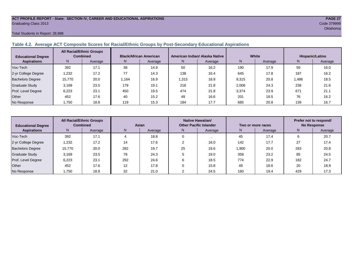## **ACT PROFILE REPORT - State: SECTION IV, CAREER AND EDUCATIONAL ASPIRATIONS PAGE 27** Graduating Class 2013 Code 379999

## Total Students in Report: 28,988

## **Table 4.2. Average ACT Composite Scores for Racial/Ethnic Groups by Post-Secondary Educational Aspirations**

| <b>Educational Degree</b> | <b>All Racial/Ethnic Groups</b><br><b>Combined</b> |         | <b>Black/African American</b> |         |       | American Indian/ Alaska Native |       | White   | Hispanic/Latino |         |  |
|---------------------------|----------------------------------------------------|---------|-------------------------------|---------|-------|--------------------------------|-------|---------|-----------------|---------|--|
| <b>Aspirations</b>        | N.                                                 | Average | N.                            | Average | N.    | Average                        | N     | Average | N.              | Average |  |
| Voc-Tech                  | 392                                                | 17.1    | 38                            | 14.9    | 50    | 16.2                           | 190   | 17.9    | 59              | 16.0    |  |
| 2-yr College Degree       | 1,232                                              | 17.2    | 77                            | 14.3    | 138   | 16.4                           | 645   | 17.8    | 187             | 16.2    |  |
| <b>Bachelors Degree</b>   | 15,770                                             | 20.0    | .164                          | 16.9    | 1,315 | 18.9                           | 9,315 | 20.8    | .486            | 18.5    |  |
| <b>Graduate Study</b>     | 3.169                                              | 23.5    | 179                           | 19.1    | 218   | 21.8                           | 2,008 | 24.3    | 238             | 21.6    |  |
| Prof. Level Degree        | 6.223                                              | 23.1    | 450                           | 19.5    | 474   | 21.8                           | 3,374 | 23.9    | 671             | 21.1    |  |
| Other                     | 452                                                | 17.6    | 40                            | 15.2    | 49    | 16.6                           | 201   | 18.5    | 76              | 16.2    |  |
| No Response               | 1,750                                              | 18.8    | 119                           | 15.3    | 184   | 17.7                           | 685   | 20.8    | 139             | 16.7    |  |

| <b>Educational Degree</b> | <b>All Racial/Ethnic Groups</b><br><b>Combined</b> |         | Asian |         |               | Native Hawaiian/<br><b>Other Pacific Islander</b> |              | Two or more races | Prefer not to respond/<br><b>No Response</b> |         |  |
|---------------------------|----------------------------------------------------|---------|-------|---------|---------------|---------------------------------------------------|--------------|-------------------|----------------------------------------------|---------|--|
| <b>Aspirations</b>        | N                                                  | Average | N     | Average | Average<br>N. |                                                   | N<br>Average |                   | N                                            | Average |  |
| Voc-Tech                  | 392                                                | 17.1    |       | 18.8    |               |                                                   | 45           | 17.4              | h                                            | 20.7    |  |
| 2-yr College Degree       | 1,232                                              | 17.2    | 14    | 17.6    |               | 16.0                                              | 142          | 17.7              | 27                                           | 17.4    |  |
| <b>Bachelors Degree</b>   | 15,770                                             | 20.0    | 282   | 19.7    | 25            | 19.6                                              | 1,900        | 20.0              | 283                                          | 20.8    |  |
| Graduate Study            | 3.169                                              | 23.5    | 78    | 24.3    |               | 19.0                                              | 358          | 23.2              | 85                                           | 24.5    |  |
| Prof. Level Degree        | 6.223                                              | 23.1    | 292   | 24.6    |               | 18.5                                              | 774          | 22.9              | 182                                          | 24.7    |  |
| Other                     | 452                                                | 17.6    | 12    | 17.8    |               | 15.8                                              | 49           | 18.6              | 20                                           | 18.9    |  |
| No Response               | 1,750                                              | 18.8    | 32    | 21.0    |               | 24.5                                              | 160          | 19.4              | 429                                          | 17.3    |  |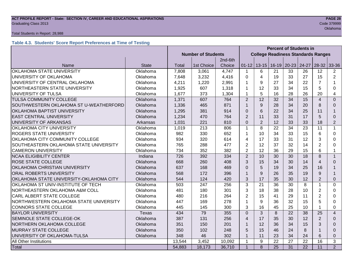## **ACT PROFILE REPORT - State: SECTION IV, CAREER AND EDUCATIONAL ASPIRATIONS PAGE 28** Graduating Class 2013 Code 379999

## Total Students in Report: 28,988

## **Table 4.3. Students' Score Report Preferences at Time of Testing**

|                                         |              | <b>Percent of Students in</b> |            |         |                |                                           |    |               |       |                |                |
|-----------------------------------------|--------------|-------------------------------|------------|---------|----------------|-------------------------------------------|----|---------------|-------|----------------|----------------|
|                                         |              | <b>Number of Students</b>     |            |         |                | <b>College Readiness Standards Ranges</b> |    |               |       |                |                |
|                                         |              |                               |            | 2nd-6th |                |                                           |    |               |       |                |                |
| Name                                    | <b>State</b> | Total                         | 1st Choice | Choice  | $01 - 12$      | $13 - 15$                                 |    | $16-19$ 20-23 | 24-27 | $28 - 32$      | 33-36          |
| OKLAHOMA STATE UNIVERSITY               | Oklahoma     | 7,808                         | 3,061      | 4,747   | $\mathbf 1$    | 6                                         | 21 | 33            | 26    | 12             | $\overline{2}$ |
| UNIVERSITY OF OKLAHOMA                  | Oklahoma     | 7,648                         | 3,232      | 4,416   | 0              | 4                                         | 19 | 33            | 27    | 15             | $\overline{2}$ |
| UNIVERSITY OF CENTRAL OKLAHOMA          | Oklahoma     | 4,211                         | 1,220      | 2,991   | 1              | 9                                         | 27 | 34            | 22    | $\overline{7}$ |                |
| NORTHEASTERN STATE UNIVERSITY           | Oklahoma     | 1,925                         | 607        | 1,318   | 1              | 12                                        | 33 | 34            | 15    | 5              | 0              |
| UNIVERSITY OF TULSA                     | Oklahoma     | 1,677                         | 373        | 1,304   | 1              | 5                                         | 16 | 28            | 26    | 20             | 4              |
| TULSA COMMUNITY COLLEGE                 | Oklahoma     | 1,371                         | 607        | 764     | $\overline{2}$ | 12                                        | 32 | 34            | 15    | $\overline{4}$ | $\Omega$       |
| SOUTHWESTERN OKLAHOMA ST U-WEATHERFORD  | Oklahoma     | 1,336                         | 465        | 871     | $\mathbf{1}$   | 9                                         | 28 | 34            | 20    | 8              | $\Omega$       |
| OKLAHOMA BAPTIST UNIVERSITY             | Oklahoma     | 1,295                         | 381        | 914     | $\Omega$       | $6\phantom{1}6$                           | 22 | 34            | 25    | 11             | 1              |
| <b>EAST CENTRAL UNIVERSITY</b>          | Oklahoma     | 1,234                         | 470        | 764     | $\overline{2}$ | 11                                        | 33 | 31            | 17    | 5              | $\Omega$       |
| UNIVERSITY OF ARKANSAS                  | Arkansas     | 1,031                         | 221        | 810     | $\Omega$       | $\overline{2}$                            | 12 | 33            | 33    | 18             | $\overline{2}$ |
| OKLAHOMA CITY UNIVERSITY                | Oklahoma     | 1,019                         | 213        | 806     | $\mathbf{1}$   | 8                                         | 22 | 34            | 23    | 11             | $\mathbf{1}$   |
| ROGERS STATE UNIVERSITY                 | Oklahoma     | 982                           | 330        | 652     | $\mathbf{1}$   | 10                                        | 34 | 33            | 15    | 6              | $\Omega$       |
| OKLAHOMA CITY COMMUNITY COLLEGE         | Oklahoma     | 934                           | 320        | 614     | 4              | 17                                        | 33 | 31            | 12    | 3              | 0              |
| SOUTHEASTERN OKLAHOMA STATE UNIVERSITY  | Oklahoma     | 765                           | 288        | 477     | $\overline{2}$ | 12                                        | 37 | 32            | 14    | $\overline{2}$ | $\Omega$       |
| <b>CAMERON UNIVERSITY</b>               | Oklahoma     | 734                           | 352        | 382     | $\overline{2}$ | 12                                        | 36 | 29            | 15    | 6              | $\mathbf 1$    |
| <b>NCAA ELIGIBILITY CENTER</b>          | Indiana      | 726                           | 392        | 334     | $\overline{2}$ | 10                                        | 30 | 30            | 18    | 8              | $\mathbf{1}$   |
| ROSE STATE COLLEGE                      | Oklahoma     | 668                           | 260        | 408     | 3              | 15                                        | 34 | 30            | 14    | $\overline{4}$ | 0              |
| OKLAHOMA CHRISTIAN UNIVERSITY           | Oklahoma     | 637                           | 168        | 469     | $\Omega$       | 5                                         | 19 | 34            | 25    | 16             |                |
| ORAL ROBERTS UNIVERSITY                 | Oklahoma     | 568                           | 172        | 396     | $\mathbf{1}$   | 9                                         | 26 | 35            | 19    | 9              | 1              |
| OKLAHOMA STATE UNIVERSITY-OKLAHOMA CITY | Oklahoma     | 544                           | 124        | 420     | 3              | 17                                        | 35 | 30            | 12    | $\overline{2}$ | $\Omega$       |
| OKLAHOMA ST UNIV-INSTITUTE OF TECH      | Oklahoma     | 503                           | 247        | 256     | 3              | 21                                        | 36 | 30            | 8     | 1              | 0              |
| NORTHEASTERN OKLAHOMA A&M COLL          | Oklahoma     | 481                           | 180        | 301     | 3              | 18                                        | 38 | 28            | 10    | $\overline{2}$ | 0              |
| CARL ALBERT STATE COLLEGE               | Oklahoma     | 480                           | 216        | 264     | $\overline{2}$ | 15                                        | 41 | 29            | 11    | $\overline{2}$ | 0              |
| NORTHWESTERN OKLAHOMA STATE UNIVERSITY  | Oklahoma     | 447                           | 169        | 278     | 1              | 9                                         | 36 | 32            | 15    | 5              | 0              |
| <b>CONNORS STATE COLLEGE</b>            | Oklahoma     | 445                           | 145        | 300     | 3              | 16                                        | 45 | 25            | 10    |                | 0              |
| <b>BAYLOR UNIVERSITY</b>                | <b>Texas</b> | 434                           | 79         | 355     | $\overline{0}$ | 3                                         | 8  | 22            | 38    | 25             | $\overline{4}$ |
| SEMINOLE STATE COLLEGE-OK               | Oklahoma     |                               | 131        | 256     | $\overline{4}$ | 17                                        | 35 | 30            | 12    | $\overline{2}$ | $\Omega$       |
| NORTHERN OKLAHOMA COLLEGE               | Oklahoma     |                               | 150        | 201     | $\mathbf{1}$   | 12                                        | 36 | 34            | 15    | 3              | $\Omega$       |
| <b>MURRAY STATE COLLEGE</b><br>Oklahoma |              | 350                           | 102        | 248     | 5              | 15                                        | 46 | 24            | 8     |                | $\Omega$       |
| UNIVERSITY OF OKLAHOMA-TULSA            | Oklahoma     | 348                           | 46         | 302     | 1              | 11                                        | 23 | 34            | 24    | 6              | 0              |
| All Other Institutions                  |              | 13,544                        | 3,452      | 10,092  | $\mathbf{1}$   | 9                                         | 22 | 27            | 22    | 16             | 3              |
| Total                                   |              | 54,883                        | 18,173     | 36,710  | $\overline{1}$ | 8                                         | 25 | 31            | 22    | 11             | $\overline{2}$ |

oklahoma na matamatang katalog sa kabupatèn Kabupatèn Kabupatèn Kabupatèn Kabupatèn Kabupatèn Kabupatèn Kabupa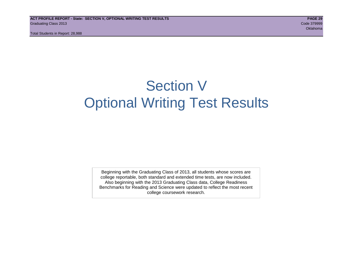## Section V Optional Writing Test Results

Beginning with the Graduating Class of 2013, all students whose scores are college reportable, both standard and extended time tests, are now included. Also beginning with the 2013 Graduating Class data, College Readiness Benchmarks for Reading and Science were updated to reflect the most recent college coursework research.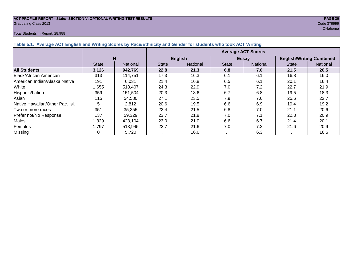## **ACT PROFILE REPORT - State: SECTION V, OPTIONAL WRITING TEST RESULTS PAGE 30** Graduating Class 2013 Code 379999

## Total Students in Report: 28,988

oklahoma na katalang katalang katalang na katalang na katalang na katalang na katalang na katalang na katalang

|                                      |              |                 | <b>Average ACT Scores</b> |                |              |                 |                                 |          |  |  |  |
|--------------------------------------|--------------|-----------------|---------------------------|----------------|--------------|-----------------|---------------------------------|----------|--|--|--|
|                                      |              | N               |                           | <b>English</b> |              | <b>Essay</b>    | <b>English/Writing Combined</b> |          |  |  |  |
|                                      | <b>State</b> | <b>National</b> | <b>State</b>              | National       | <b>State</b> | <b>National</b> | <b>State</b>                    | National |  |  |  |
| <b>All Students</b>                  | 3,126        | 942,769         | 22.8                      | 21.3           | 6.8          | 7.0             | 21.5                            | 20.5     |  |  |  |
| Black/African American               | 313          | 114,751         | 17.3                      | 16.3           | 6.1          | 6.1             | 16.8                            | 16.0     |  |  |  |
| <b>American Indian/Alaska Native</b> | 191          | 6.031           | 21.4                      | 16.8           | 6.5          | 6.1             | 20.1                            | 16.4     |  |  |  |
| White                                | 1,655        | 518,407         | 24.3                      | 22.9           | 7.0          | 7.2             | 22.7                            | 21.9     |  |  |  |
| Hispanic/Latino                      | 359          | 151,504         | 20.3                      | 18.6           | 6.7          | 6.8             | 19.5                            | 18.3     |  |  |  |
| Asian                                | 115          | 54,580          | 27.1                      | 23.5           | 7.9          | 7.6             | 25.6                            | 22.7     |  |  |  |
| Native Hawaiian/Other Pac. Isl.      | 5            | 2,812           | 20.6                      | 19.5           | 6.6          | 6.9             | 19.4                            | 19.2     |  |  |  |
| Two or more races                    | 351          | 35,355          | 22.4                      | 21.5           | 6.8          | 7.0             | 21.1                            | 20.6     |  |  |  |
| Prefer not/No Response               | 137          | 59,329          | 23.7                      | 21.8           | 7.0          | 7.1             | 22.3                            | 20.9     |  |  |  |
| <b>Males</b>                         | ,329         | 423,104         | 23.0                      | 21.0           | 6.6          | 6.7             | 21.4                            | 20.1     |  |  |  |
| Females                              | 1.797        | 513,945         | 22.7                      | 21.6           | 7.0          | 7.2             | 21.6                            | 20.9     |  |  |  |
| <b>Missing</b>                       |              | 5,720           |                           | 16.6           |              | 6.3             |                                 | 16.5     |  |  |  |

## **Table 5.1. Average ACT English and Writing Scores by Race/Ethnicity and Gender for students who took ACT Writing**